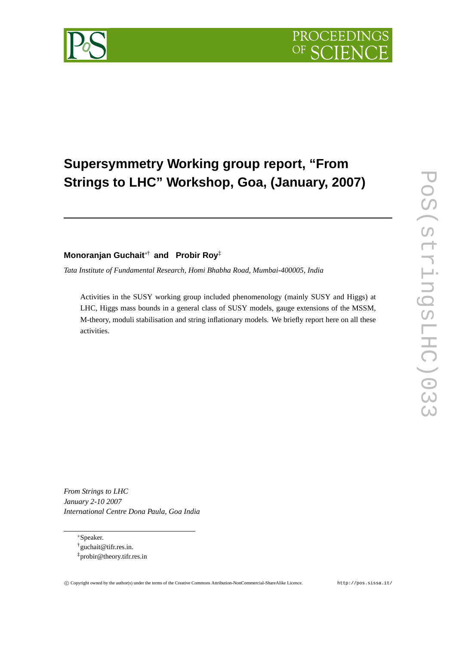

## **Supersymmetry Working group report, "From Strings to LHC" Workshop, Goa, (January, 2007)**

## **Monoranjan Guchait**∗† **and Probir Roy**‡

*Tata Institute of Fundamental Research, Homi Bhabha Road, Mumbai-400005, India*

Activities in the SUSY working group included phenomenology (mainly SUSY and Higgs) at LHC, Higgs mass bounds in a general class of SUSY models, gauge extensions of the MSSM, M-theory, moduli stabilisation and string inflationary models. We briefly report here on all these activities.

*From Strings to LHC January 2-10 2007 International Centre Dona Paula, Goa India*

<sup>∗</sup>Speaker.

<sup>†</sup>guchait@tifr.res.in. ‡probir@theory.tifr.res.in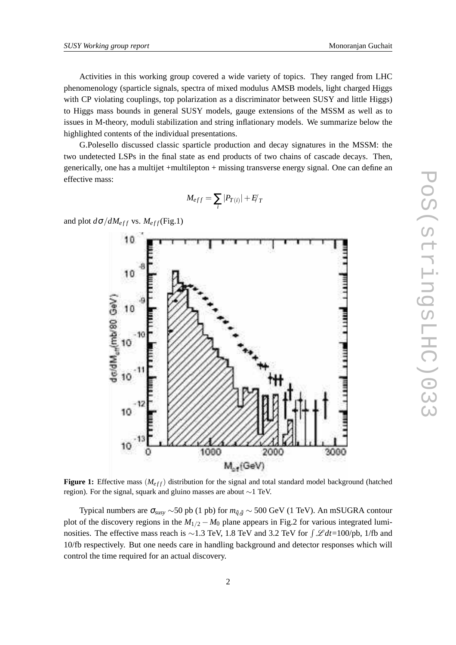Activities in this working group covered a wide variety of topics. They ranged from LHC phenomenology (sparticle signals, spectra of mixed modulus AMSB models, light charged Higgs with CP violating couplings, top polarization as a discriminator between SUSY and little Higgs) to Higgs mass bounds in general SUSY models, gauge extensions of the MSSM as well as to issues in M-theory, moduli stabilization and string inflationary models. We summarize below the highlighted contents of the individual presentations.

G.Polesello discussed classic sparticle production and decay signatures in the MSSM: the two undetected LSPs in the final state as end products of two chains of cascade decays. Then, generically, one has a multijet +multilepton + missing transverse energy signal. One can define an effective mass:

$$
M_{eff}=\sum_i|P_{T(i)}|+E_T'
$$

and plot  $d\sigma/dM_{eff}$  vs.  $M_{eff}$ (Fig.1)



**Figure 1:** Effective mass  $(M<sub>eff</sub>)$  distribution for the signal and total standard model background (hatched region). For the signal, squark and gluino masses are about ∼1 TeV.

Typical numbers are  $\sigma_{susy} \sim 50$  pb (1 pb) for  $m_{\tilde{q},\tilde{g}} \sim 500$  GeV (1 TeV). An mSUGRA contour plot of the discovery regions in the  $M_{1/2} - M_0$  plane appears in Fig.2 for various integrated luminosities. The effective mass reach is ~1.3 TeV, 1.8 TeV and 3.2 TeV for  $\int \mathcal{L} dt$ =100/pb, 1/fb and 10/fb respectively. But one needs care in handling background and detector responses which will control the time required for an actual discovery.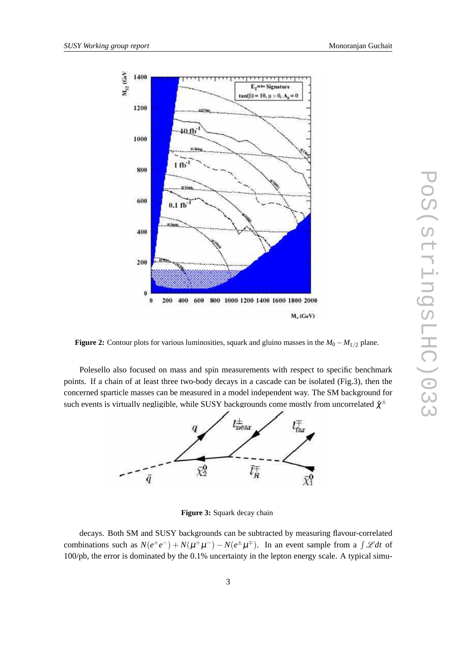

**Figure 2:** Contour plots for various luminosities, squark and gluino masses in the  $M_0 - M_{1/2}$  plane.

Polesello also focused on mass and spin measurements with respect to specific benchmark points. If a chain of at least three two-body decays in a cascade can be isolated (Fig.3), then the concerned sparticle masses can be measured in a model independent way. The SM background for such events is virtually negligible, while SUSY backgrounds come mostly from uncorrelated  $\tilde{\chi}^\pm$ 



**Figure 3:** Squark decay chain

decays. Both SM and SUSY backgrounds can be subtracted by measuring flavour-correlated combinations such as  $N(e^+e^-) + N(\mu^+\mu^-) - N(e^{\pm}\mu^{\mp})$ . In an event sample from a  $\int \mathscr{L} dt$  of 100/pb, the error is dominated by the 0.1% uncertainty in the lepton energy scale. A typical simu-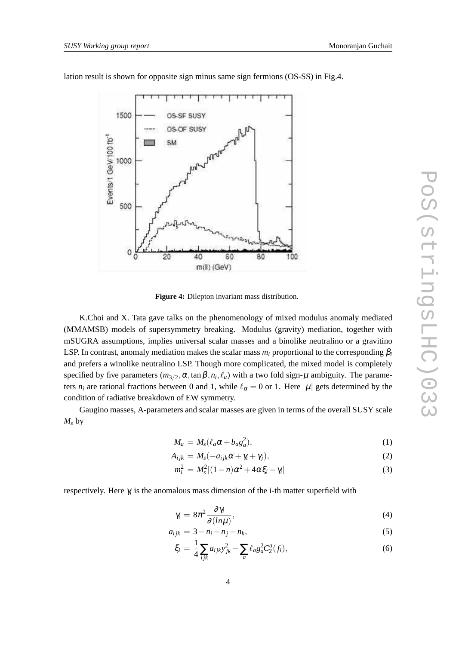

lation result is shown for opposite sign minus same sign fermions (OS-SS) in Fig.4.

**Figure 4:** Dilepton invariant mass distribution.

K.Choi and X. Tata gave talks on the phenomenology of mixed modulus anomaly mediated (MMAMSB) models of supersymmetry breaking. Modulus (gravity) mediation, together with mSUGRA assumptions, implies universal scalar masses and a binolike neutralino or a gravitino LSP. In contrast, anomaly mediation makes the scalar mass  $m_i$  proportional to the corresponding  $\beta_i$ and prefers a winolike neutralino LSP. Though more complicated, the mixed model is completely specified by five parameters  $(m_{3/2}, \alpha, \tan \beta, n_i, \ell_a)$  with a two fold sign- $\mu$  ambiguity. The parameters  $n_i$  are rational fractions between 0 and 1, while  $\ell_{\alpha} = 0$  or 1. Here  $|\mu|$  gets determined by the condition of radiative breakdown of EW symmetry.

Gaugino masses, A-parameters and scalar masses are given in terms of the overall SUSY scale  $M_s$  by

$$
M_a = M_s(\ell_a \alpha + b_a g_a^2), \qquad (1)
$$

$$
A_{ijk} = M_s(-a_{ijk}\alpha + \gamma_i + \gamma_j),
$$
\n(2)

$$
m_i^2 = M_s^2 [(1 - n)\alpha^2 + 4\alpha \xi_i - \gamma_i]
$$
 (3)

respectively. Here <sup>γ</sup>*<sup>i</sup>* is the anomalous mass dimension of the i-th matter superfield with

$$
\gamma_i = 8\pi^2 \frac{\partial \gamma_i}{\partial (\ln \mu)},\tag{4}
$$

$$
a_{ijk} = 3 - n_i - n_j - n_k,\tag{5}
$$

$$
\xi_i = \frac{1}{4} \sum_{ijk} a_{ijk} y_{jk}^2 - \sum_a \ell_a g_a^2 C_2^a(f_i), \qquad (6)
$$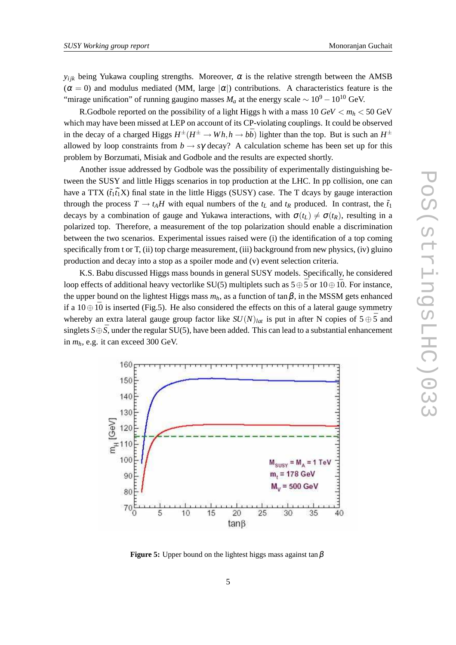$y_{ijk}$  being Yukawa coupling strengths. Moreover,  $\alpha$  is the relative strength between the AMSB  $(\alpha = 0)$  and modulus mediated (MM, large  $|\alpha|$ ) contributions. A characteristics feature is the "mirage unification" of running gaugino masses  $M_a$  at the energy scale  $\sim 10^9 - 10^{10}$  GeV.

R.Godbole reported on the possibility of a light Higgs h with a mass  $10 \text{ GeV} < m_h < 50 \text{ GeV}$ which may have been missed at LEP on account of its CP-violating couplings. It could be observed in the decay of a charged Higgs  $H^{\pm}(H^{\pm} \to Wh, h \to b\bar{b})$  lighter than the top. But is such an  $H^{\pm}$ allowed by loop constraints from  $b \rightarrow s\gamma$  decay? A calculation scheme has been set up for this problem by Borzumati, Misiak and Godbole and the results are expected shortly.

Another issue addressed by Godbole was the possibility of experimentally distinguishing between the SUSY and little Higgs scenarios in top production at the LHC. In pp collision, one can have a TTX  $(\tilde{t}_1 \tilde{t}_1 X)$  final state in the little Higgs (SUSY) case. The T dcays by gauge interaction through the process  $T \rightarrow t_A H$  with equal numbers of the  $t_L$  and  $t_R$  produced. In contrast, the  $\tilde{t}_1$ decays by a combination of gauge and Yukawa interactions, with  $\sigma(t_L) \neq \sigma(t_R)$ , resulting in a polarized top. Therefore, a measurement of the top polarization should enable a discrimination between the two scenarios. Experimental issues raised were (i) the identification of a top coming specifically from t or T, (ii) top charge measurement, (iii) background from new physics, (iv) gluino production and decay into a stop as a spoiler mode and (v) event selection criteria.

K.S. Babu discussed Higgs mass bounds in general SUSY models. Specifically, he considered loop effects of additional heavy vectorlike SU(5) multiplets such as  $5 \oplus \overline{5}$  or  $10 \oplus 10$ . For instance, the upper bound on the lightest Higgs mass  $m_h$ , as a function of tan  $\beta$ , in the MSSM gets enhanced if a  $10 \oplus \overline{10}$  is inserted (Fig.5). He also considered the effects on this of a lateral gauge symmetry whereby an extra lateral gauge group factor like  $SU(N)_{lat}$  is put in after N copies of  $5 \oplus \overline{5}$  and singlets  $S \oplus \overline{S}$ , under the regular SU(5), have been added. This can lead to a substantial enhancement in *mh*, e.g. it can exceed 300 GeV.



**Figure 5:** Upper bound on the lightest higgs mass against tan  $\beta$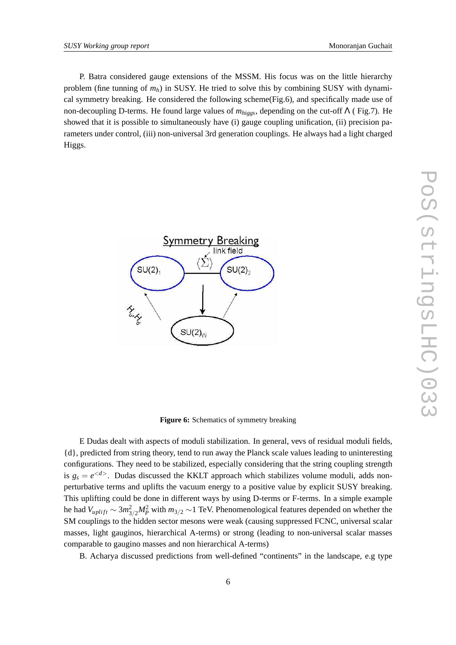P. Batra considered gauge extensions of the MSSM. His focus was on the little hierarchy problem (fine tunning of *mh*) in SUSY. He tried to solve this by combining SUSY with dynamical symmetry breaking. He considered the following scheme(Fig.6), and specifically made use of non-decoupling D-terms. He found large values of *mhiggs*, depending on the cut-off Λ ( Fig.7). He showed that it is possible to simultaneously have (i) gauge coupling unification, (ii) precision parameters under control, (iii) non-universal 3rd generation couplings. He always had a light charged Higgs.



**Figure 6:** Schematics of symmetry breaking

E Dudas dealt with aspects of moduli stabilization. In general, vevs of residual moduli fields, {d}, predicted from string theory, tend to run away the Planck scale values leading to uninteresting configurations. They need to be stabilized, especially considering that the string coupling strength is  $g_s = e^{}$ . Dudas discussed the KKLT approach which stabilizes volume moduli, adds nonperturbative terms and uplifts the vacuum energy to a positive value by explicit SUSY breaking. This uplifting could be done in different ways by using D-terms or F-terms. In a simple example he had  $V_{uplift} \sim 3m_{3/2}^2 M_P^2$  with  $m_{3/2} \sim 1$  TeV. Phenomenological features depended on whether the SM couplings to the hidden sector mesons were weak (causing suppressed FCNC, universal scalar masses, light gauginos, hierarchical A-terms) or strong (leading to non-universal scalar masses comparable to gaugino masses and non hierarchical A-terms)

B. Acharya discussed predictions from well-defined "continents" in the landscape, e.g type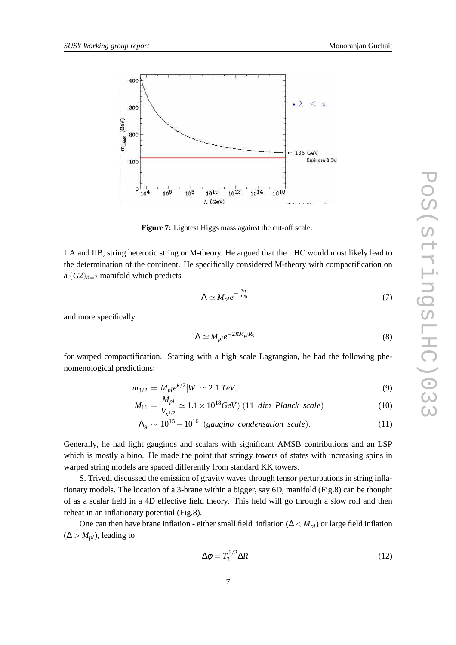

**Figure 7:** Lightest Higgs mass against the cut-off scale.

IIA and IIB, string heterotic string or M-theory. He argued that the LHC would most likely lead to the determination of the continent. He specifically considered M-theory with compactification on a  $(G2)_{d=7}$  manifold which predicts

$$
\Lambda \simeq M_{pl} e^{-\frac{2\pi}{\alpha b_0}} \tag{7}
$$

and more specifically

$$
\Lambda \simeq M_{pl} e^{-2\pi M_{pl} R_0} \tag{8}
$$

for warped compactification. Starting with a high scale Lagrangian, he had the following phenomenological predictions:

$$
m_{3/2} = M_{pl} e^{k/2} |W| \simeq 2.1 \; TeV,\tag{9}
$$

$$
M_{11} = \frac{M_{pl}}{V_{x^{1/2}}} \simeq 1.1 \times 10^{18} \text{GeV}) \ (11 \ \text{dim Planck scale}) \tag{10}
$$

$$
\Lambda_g \sim 10^{15} - 10^{16} \text{ (gaugino condensation scale)}.
$$
 (11)

Generally, he had light gauginos and scalars with significant AMSB contributions and an LSP which is mostly a bino. He made the point that stringy towers of states with increasing spins in warped string models are spaced differently from standard KK towers.

S. Trivedi discussed the emission of gravity waves through tensor perturbations in string inflationary models. The location of a 3-brane within a bigger, say 6D, manifold (Fig.8) can be thought of as a scalar field in a 4D effective field theory. This field will go through a slow roll and then reheat in an inflationary potential (Fig.8).

One can then have brane inflation - either small field inflation (∆ < *Mpl*) or large field inflation  $(\Delta > M_{pl})$ , leading to

$$
\Delta \phi = T_3^{1/2} \Delta R \tag{12}
$$